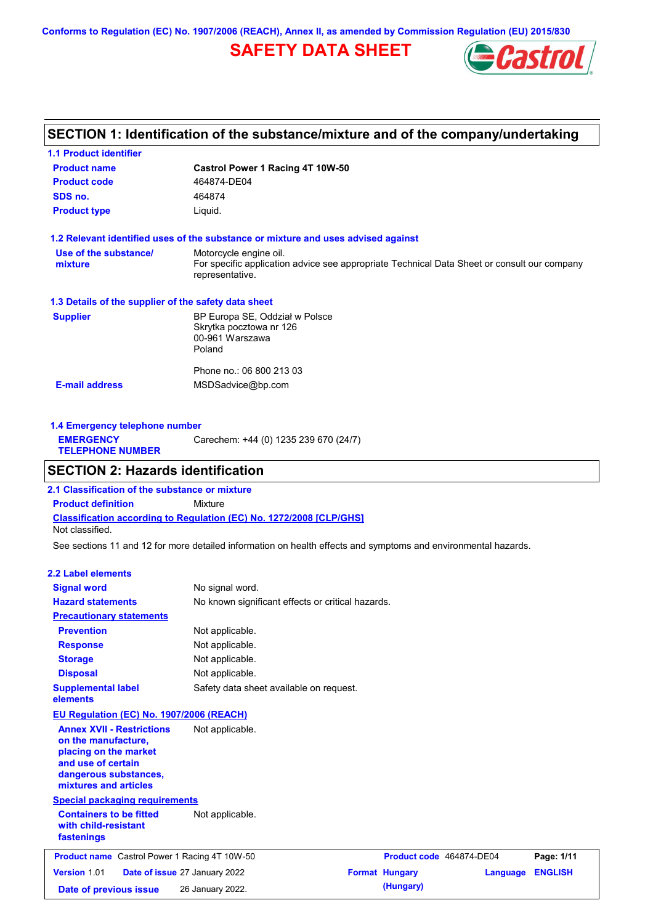**Conforms to Regulation (EC) No. 1907/2006 (REACH), Annex II, as amended by Commission Regulation (EU) 2015/830**

## **SAFETY DATA SHEET**



### **SECTION 1: Identification of the substance/mixture and of the company/undertaking**

| <b>1.1 Product identifier</b>                        |                                                                                                                                          |
|------------------------------------------------------|------------------------------------------------------------------------------------------------------------------------------------------|
| <b>Product name</b>                                  | Castrol Power 1 Racing 4T 10W-50                                                                                                         |
| <b>Product code</b>                                  | 464874-DE04                                                                                                                              |
| SDS no.                                              | 464874                                                                                                                                   |
| <b>Product type</b>                                  | Liquid.                                                                                                                                  |
|                                                      | 1.2 Relevant identified uses of the substance or mixture and uses advised against                                                        |
| Use of the substance/<br>mixture                     | Motorcycle engine oil.<br>For specific application advice see appropriate Technical Data Sheet or consult our company<br>representative. |
| 1.3 Details of the supplier of the safety data sheet |                                                                                                                                          |
| <b>Supplier</b>                                      | BP Europa SE, Oddział w Polsce<br>Skrytka pocztowa nr 126<br>00-961 Warszawa<br>Poland                                                   |
| <b>E-mail address</b>                                | Phone no.: 06 800 213 03                                                                                                                 |
|                                                      | MSDSadvice@bp.com                                                                                                                        |

**1.4 Emergency telephone number EMERGENCY TELEPHONE NUMBER** Carechem: +44 (0) 1235 239 670 (24/7)

### **SECTION 2: Hazards identification**

**Classification according to Regulation (EC) No. 1272/2008 [CLP/GHS] 2.1 Classification of the substance or mixture Product definition** Mixture Not classified.

See sections 11 and 12 for more detailed information on health effects and symptoms and environmental hazards.

### **2.2 Label elements**

| <b>Signal word</b><br><b>Hazard statements</b><br><b>Precautionary statements</b>                                                                                                                           | No signal word.<br>No known significant effects or critical hazards.                                                |                                    |          |                |
|-------------------------------------------------------------------------------------------------------------------------------------------------------------------------------------------------------------|---------------------------------------------------------------------------------------------------------------------|------------------------------------|----------|----------------|
| <b>Prevention</b><br><b>Response</b><br><b>Storage</b><br><b>Disposal</b><br><b>Supplemental label</b>                                                                                                      | Not applicable.<br>Not applicable.<br>Not applicable.<br>Not applicable.<br>Safety data sheet available on request. |                                    |          |                |
| elements                                                                                                                                                                                                    |                                                                                                                     |                                    |          |                |
| <b>EU Regulation (EC) No. 1907/2006 (REACH)</b><br><b>Annex XVII - Restrictions</b><br>on the manufacture,<br>placing on the market<br>and use of certain<br>dangerous substances,<br>mixtures and articles | Not applicable.                                                                                                     |                                    |          |                |
| <b>Special packaging requirements</b><br><b>Containers to be fitted</b><br>with child-resistant<br>fastenings                                                                                               | Not applicable.                                                                                                     |                                    |          |                |
| <b>Product name</b> Castrol Power 1 Racing 4T 10W-50                                                                                                                                                        |                                                                                                                     | Product code 464874-DE04           |          | Page: 1/11     |
| Version 1.01<br>Date of previous issue                                                                                                                                                                      | Date of issue 27 January 2022<br>26 January 2022.                                                                   | <b>Format Hungary</b><br>(Hungary) | Language | <b>ENGLISH</b> |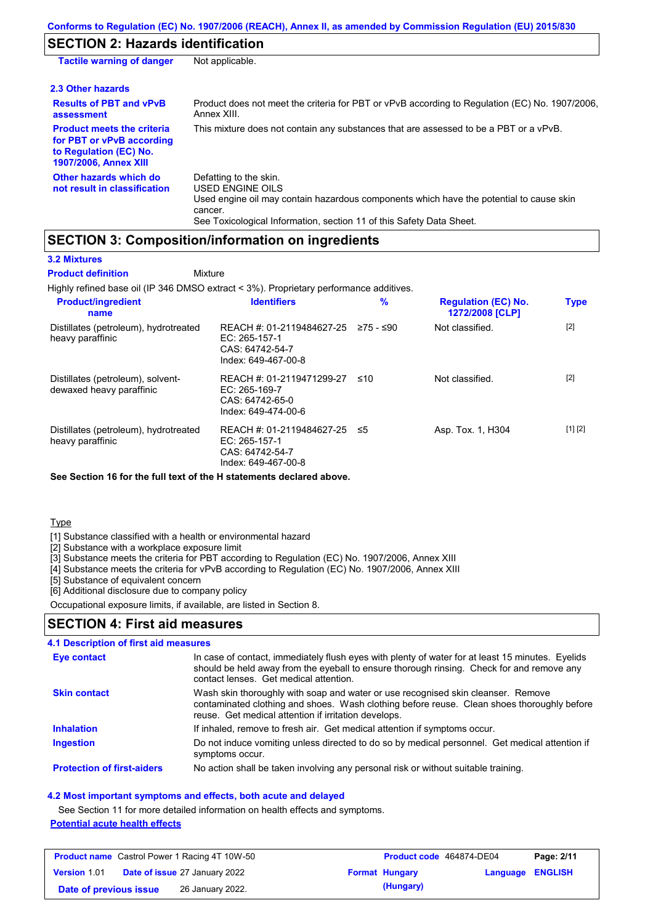### **SECTION 2: Hazards identification**

| <b>Tactile warning of danger</b>                                                                                         | Not applicable.                                                                                                                                                                                                          |
|--------------------------------------------------------------------------------------------------------------------------|--------------------------------------------------------------------------------------------------------------------------------------------------------------------------------------------------------------------------|
| 2.3 Other hazards                                                                                                        |                                                                                                                                                                                                                          |
| <b>Results of PBT and vPvB</b><br>assessment                                                                             | Product does not meet the criteria for PBT or vPvB according to Regulation (EC) No. 1907/2006.<br>Annex XIII.                                                                                                            |
| <b>Product meets the criteria</b><br>for PBT or vPvB according<br>to Regulation (EC) No.<br><b>1907/2006, Annex XIII</b> | This mixture does not contain any substances that are assessed to be a PBT or a vPvB.                                                                                                                                    |
| Other hazards which do<br>not result in classification                                                                   | Defatting to the skin.<br>USED ENGINE OILS<br>Used engine oil may contain hazardous components which have the potential to cause skin<br>cancer.<br>See Toxicological Information, section 11 of this Safety Data Sheet. |

### **SECTION 3: Composition/information on ingredients**

### **3.2 Mixtures**

Highly refined base oil (IP 346 DMSO extract < 3%). Proprietary performance additives. Distillates (petroleum), hydrotreated heavy paraffinic REACH #: 01-2119484627-25 EC: 265-157-1 CAS: 64742-54-7 Index: 649-467-00-8 Not classified. [2] Distillates (petroleum), solventdewaxed heavy paraffinic REACH #: 01-2119471299-27 EC: 265-169-7 CAS: 64742-65-0 Index: 649-474-00-6 Not classified. [2] Distillates (petroleum), hydrotreated heavy paraffinic REACH #: 01-2119484627-25 EC: 265-157-1 CAS: 64742-54-7 Index: 649-467-00-8 Asp. Tox. 1, H304 [1] [2] **Product/ingredient name % Regulation (EC) No. Identifiers Type 1272/2008 [CLP] Mixture Product definition**

**See Section 16 for the full text of the H statements declared above.**

**Type** 

[1] Substance classified with a health or environmental hazard

[2] Substance with a workplace exposure limit

[3] Substance meets the criteria for PBT according to Regulation (EC) No. 1907/2006, Annex XIII

[4] Substance meets the criteria for vPvB according to Regulation (EC) No. 1907/2006, Annex XIII

[5] Substance of equivalent concern

[6] Additional disclosure due to company policy

Occupational exposure limits, if available, are listed in Section 8.

### **SECTION 4: First aid measures**

### **4.1 Description of first aid measures**

| Eye contact                       | In case of contact, immediately flush eyes with plenty of water for at least 15 minutes. Eyelids<br>should be held away from the eyeball to ensure thorough rinsing. Check for and remove any<br>contact lenses. Get medical attention. |
|-----------------------------------|-----------------------------------------------------------------------------------------------------------------------------------------------------------------------------------------------------------------------------------------|
| <b>Skin contact</b>               | Wash skin thoroughly with soap and water or use recognised skin cleanser. Remove<br>contaminated clothing and shoes. Wash clothing before reuse. Clean shoes thoroughly before<br>reuse. Get medical attention if irritation develops.  |
| <b>Inhalation</b>                 | If inhaled, remove to fresh air. Get medical attention if symptoms occur.                                                                                                                                                               |
| <b>Ingestion</b>                  | Do not induce vomiting unless directed to do so by medical personnel. Get medical attention if<br>symptoms occur.                                                                                                                       |
| <b>Protection of first-aiders</b> | No action shall be taken involving any personal risk or without suitable training.                                                                                                                                                      |

#### **4.2 Most important symptoms and effects, both acute and delayed**

See Section 11 for more detailed information on health effects and symptoms. **Potential acute health effects**

|                        | <b>Product name</b> Castrol Power 1 Racing 4T 10W-50 | Product code 464874-DE04 |                  | Page: 2/11 |
|------------------------|------------------------------------------------------|--------------------------|------------------|------------|
| <b>Version 1.01</b>    | <b>Date of issue 27 January 2022</b>                 | <b>Format Hungary</b>    | Language ENGLISH |            |
| Date of previous issue | 26 January 2022.                                     | (Hungary)                |                  |            |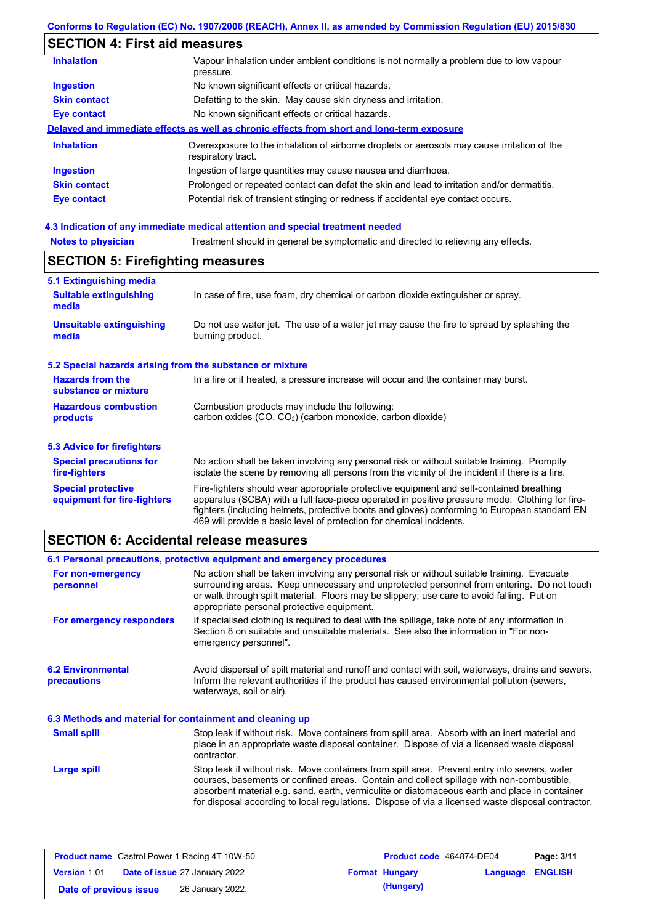## **SECTION 4: First aid measures**

| <b>Inhalation</b>   | Vapour inhalation under ambient conditions is not normally a problem due to low vapour<br>pressure.               |
|---------------------|-------------------------------------------------------------------------------------------------------------------|
| <b>Ingestion</b>    | No known significant effects or critical hazards.                                                                 |
| <b>Skin contact</b> | Defatting to the skin. May cause skin dryness and irritation.                                                     |
| <b>Eye contact</b>  | No known significant effects or critical hazards.                                                                 |
|                     | Delayed and immediate effects as well as chronic effects from short and long-term exposure                        |
| <b>Inhalation</b>   | Overexposure to the inhalation of airborne droplets or aerosols may cause irritation of the<br>respiratory tract. |
| <b>Ingestion</b>    | Ingestion of large quantities may cause nausea and diarrhoea.                                                     |
| <b>Skin contact</b> | Prolonged or repeated contact can defat the skin and lead to irritation and/or dermatitis.                        |
| Eye contact         | Potential risk of transient stinging or redness if accidental eye contact occurs.                                 |
|                     |                                                                                                                   |

## **4.3 Indication of any immediate medical attention and special treatment needed**

| <b>SECTION 5: Firefighting measures</b>                   |                                                                                                                                                                                                                                                                                                                                                                   |  |  |  |  |
|-----------------------------------------------------------|-------------------------------------------------------------------------------------------------------------------------------------------------------------------------------------------------------------------------------------------------------------------------------------------------------------------------------------------------------------------|--|--|--|--|
| 5.1 Extinguishing media                                   |                                                                                                                                                                                                                                                                                                                                                                   |  |  |  |  |
| <b>Suitable extinguishing</b><br>media                    | In case of fire, use foam, dry chemical or carbon dioxide extinguisher or spray.                                                                                                                                                                                                                                                                                  |  |  |  |  |
| <b>Unsuitable extinguishing</b><br>media                  | Do not use water jet. The use of a water jet may cause the fire to spread by splashing the<br>burning product.                                                                                                                                                                                                                                                    |  |  |  |  |
| 5.2 Special hazards arising from the substance or mixture |                                                                                                                                                                                                                                                                                                                                                                   |  |  |  |  |
| <b>Hazards from the</b><br>substance or mixture           | In a fire or if heated, a pressure increase will occur and the container may burst.                                                                                                                                                                                                                                                                               |  |  |  |  |
| <b>Hazardous combustion</b>                               | Combustion products may include the following:                                                                                                                                                                                                                                                                                                                    |  |  |  |  |
| products                                                  | carbon oxides (CO, CO <sub>2</sub> ) (carbon monoxide, carbon dioxide)                                                                                                                                                                                                                                                                                            |  |  |  |  |
| 5.3 Advice for firefighters                               |                                                                                                                                                                                                                                                                                                                                                                   |  |  |  |  |
| <b>Special precautions for</b><br>fire-fighters           | No action shall be taken involving any personal risk or without suitable training. Promptly<br>isolate the scene by removing all persons from the vicinity of the incident if there is a fire.                                                                                                                                                                    |  |  |  |  |
| <b>Special protective</b><br>equipment for fire-fighters  | Fire-fighters should wear appropriate protective equipment and self-contained breathing<br>apparatus (SCBA) with a full face-piece operated in positive pressure mode. Clothing for fire-<br>fighters (including helmets, protective boots and gloves) conforming to European standard EN<br>469 will provide a basic level of protection for chemical incidents. |  |  |  |  |

## **SECTION 6: Accidental release measures**

|                                                          | 6.1 Personal precautions, protective equipment and emergency procedures                                                                                                                                                                                                                                                                                                                        |  |  |  |
|----------------------------------------------------------|------------------------------------------------------------------------------------------------------------------------------------------------------------------------------------------------------------------------------------------------------------------------------------------------------------------------------------------------------------------------------------------------|--|--|--|
| For non-emergency<br>personnel                           | No action shall be taken involving any personal risk or without suitable training. Evacuate<br>surrounding areas. Keep unnecessary and unprotected personnel from entering. Do not touch<br>or walk through spilt material. Floors may be slippery; use care to avoid falling. Put on<br>appropriate personal protective equipment.                                                            |  |  |  |
| For emergency responders                                 | If specialised clothing is required to deal with the spillage, take note of any information in<br>Section 8 on suitable and unsuitable materials. See also the information in "For non-<br>emergency personnel".                                                                                                                                                                               |  |  |  |
| <b>6.2 Environmental</b><br>precautions                  | Avoid dispersal of spilt material and runoff and contact with soil, waterways, drains and sewers.<br>Inform the relevant authorities if the product has caused environmental pollution (sewers,<br>waterways, soil or air).                                                                                                                                                                    |  |  |  |
| 6.3 Methods and material for containment and cleaning up |                                                                                                                                                                                                                                                                                                                                                                                                |  |  |  |
| <b>Small spill</b>                                       | Stop leak if without risk. Move containers from spill area. Absorb with an inert material and<br>place in an appropriate waste disposal container. Dispose of via a licensed waste disposal<br>contractor.                                                                                                                                                                                     |  |  |  |
| Large spill                                              | Stop leak if without risk. Move containers from spill area. Prevent entry into sewers, water<br>courses, basements or confined areas. Contain and collect spillage with non-combustible,<br>absorbent material e.g. sand, earth, vermiculite or diatomaceous earth and place in container<br>for disposal according to local regulations. Dispose of via a licensed waste disposal contractor. |  |  |  |

|                        | <b>Product name</b> Castrol Power 1 Racing 4T 10W-50 | <b>Product code</b> 464874-DE04 |                         | Page: 3/11 |
|------------------------|------------------------------------------------------|---------------------------------|-------------------------|------------|
| Version 1.01           | <b>Date of issue 27 January 2022</b>                 | <b>Format Hungary</b>           | <b>Language ENGLISH</b> |            |
| Date of previous issue | 26 January 2022.                                     | (Hungary)                       |                         |            |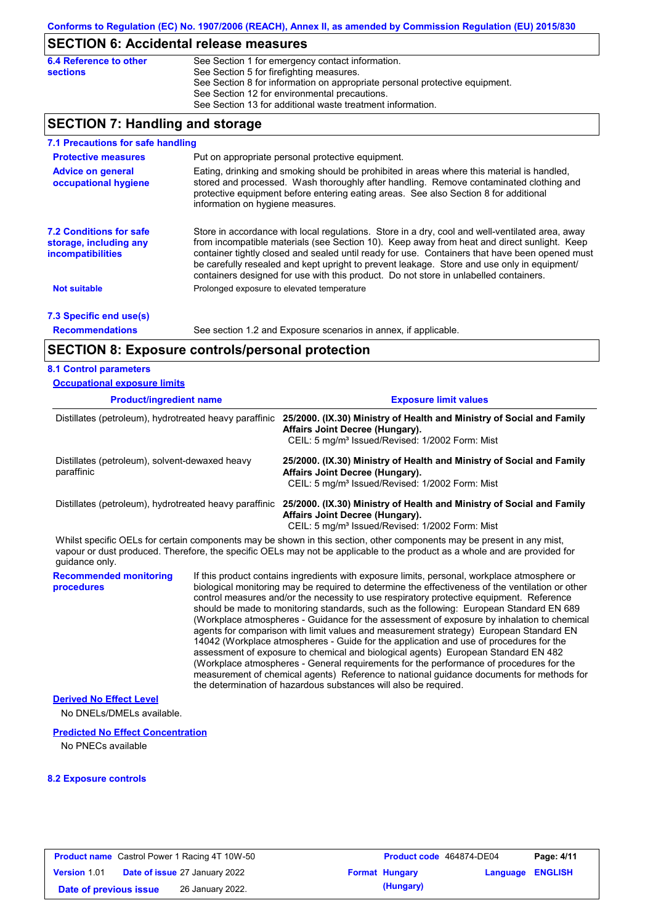## **SECTION 6: Accidental release measures**

| 6.4 Reference to other | See Section 1 for emergency contact information.                            |
|------------------------|-----------------------------------------------------------------------------|
| <b>sections</b>        | See Section 5 for firefighting measures.                                    |
|                        | See Section 8 for information on appropriate personal protective equipment. |
|                        | See Section 12 for environmental precautions.                               |
|                        | See Section 13 for additional waste treatment information.                  |
|                        |                                                                             |

## **SECTION 7: Handling and storage**

| 7.1 Precautions for safe handling                                                    |                                                                                                                                                                                                                                                                                                                                                                                                                                                                                          |
|--------------------------------------------------------------------------------------|------------------------------------------------------------------------------------------------------------------------------------------------------------------------------------------------------------------------------------------------------------------------------------------------------------------------------------------------------------------------------------------------------------------------------------------------------------------------------------------|
| <b>Protective measures</b>                                                           | Put on appropriate personal protective equipment.                                                                                                                                                                                                                                                                                                                                                                                                                                        |
| <b>Advice on general</b><br>occupational hygiene                                     | Eating, drinking and smoking should be prohibited in areas where this material is handled.<br>stored and processed. Wash thoroughly after handling. Remove contaminated clothing and<br>protective equipment before entering eating areas. See also Section 8 for additional<br>information on hygiene measures.                                                                                                                                                                         |
| <b>7.2 Conditions for safe</b><br>storage, including any<br><i>incompatibilities</i> | Store in accordance with local requlations. Store in a dry, cool and well-ventilated area, away<br>from incompatible materials (see Section 10). Keep away from heat and direct sunlight. Keep<br>container tightly closed and sealed until ready for use. Containers that have been opened must<br>be carefully resealed and kept upright to prevent leakage. Store and use only in equipment/<br>containers designed for use with this product. Do not store in unlabelled containers. |
| <b>Not suitable</b>                                                                  | Prolonged exposure to elevated temperature                                                                                                                                                                                                                                                                                                                                                                                                                                               |
| 7.3 Specific end use(s)                                                              |                                                                                                                                                                                                                                                                                                                                                                                                                                                                                          |
| <b>Recommendations</b>                                                               | See section 1.2 and Exposure scenarios in annex, if applicable.                                                                                                                                                                                                                                                                                                                                                                                                                          |

## **SECTION 8: Exposure controls/personal protection**

### **8.1 Control parameters**

| <b>Occupational exposure limits</b>                                                                                    |  |                                                                                                                                                                                                                                                                                                                                                                                                                                                                                                                                                                                                                                                                                                                                                                                                                                                                                                                                                                                                                            |  |  |  |
|------------------------------------------------------------------------------------------------------------------------|--|----------------------------------------------------------------------------------------------------------------------------------------------------------------------------------------------------------------------------------------------------------------------------------------------------------------------------------------------------------------------------------------------------------------------------------------------------------------------------------------------------------------------------------------------------------------------------------------------------------------------------------------------------------------------------------------------------------------------------------------------------------------------------------------------------------------------------------------------------------------------------------------------------------------------------------------------------------------------------------------------------------------------------|--|--|--|
| <b>Product/ingredient name</b>                                                                                         |  | <b>Exposure limit values</b>                                                                                                                                                                                                                                                                                                                                                                                                                                                                                                                                                                                                                                                                                                                                                                                                                                                                                                                                                                                               |  |  |  |
| Distillates (petroleum), hydrotreated heavy paraffinic<br>Distillates (petroleum), solvent-dewaxed heavy<br>paraffinic |  | 25/2000. (IX.30) Ministry of Health and Ministry of Social and Family<br>Affairs Joint Decree (Hungary).<br>CEIL: 5 mg/m <sup>3</sup> Issued/Revised: 1/2002 Form: Mist                                                                                                                                                                                                                                                                                                                                                                                                                                                                                                                                                                                                                                                                                                                                                                                                                                                    |  |  |  |
|                                                                                                                        |  | 25/2000. (IX.30) Ministry of Health and Ministry of Social and Family<br>Affairs Joint Decree (Hungary).<br>CEIL: 5 mg/m <sup>3</sup> Issued/Revised: 1/2002 Form: Mist                                                                                                                                                                                                                                                                                                                                                                                                                                                                                                                                                                                                                                                                                                                                                                                                                                                    |  |  |  |
|                                                                                                                        |  | Distillates (petroleum), hydrotreated heavy paraffinic 25/2000. (IX.30) Ministry of Health and Ministry of Social and Family<br>Affairs Joint Decree (Hungary).<br>CEIL: 5 mg/m <sup>3</sup> Issued/Revised: 1/2002 Form: Mist                                                                                                                                                                                                                                                                                                                                                                                                                                                                                                                                                                                                                                                                                                                                                                                             |  |  |  |
| quidance only.                                                                                                         |  | Whilst specific OELs for certain components may be shown in this section, other components may be present in any mist,<br>vapour or dust produced. Therefore, the specific OELs may not be applicable to the product as a whole and are provided for                                                                                                                                                                                                                                                                                                                                                                                                                                                                                                                                                                                                                                                                                                                                                                       |  |  |  |
| <b>Recommended monitoring</b><br>procedures                                                                            |  | If this product contains ingredients with exposure limits, personal, workplace atmosphere or<br>biological monitoring may be required to determine the effectiveness of the ventilation or other<br>control measures and/or the necessity to use respiratory protective equipment. Reference<br>should be made to monitoring standards, such as the following: European Standard EN 689<br>(Workplace atmospheres - Guidance for the assessment of exposure by inhalation to chemical<br>agents for comparison with limit values and measurement strategy) European Standard EN<br>14042 (Workplace atmospheres - Guide for the application and use of procedures for the<br>assessment of exposure to chemical and biological agents) European Standard EN 482<br>(Workplace atmospheres - General requirements for the performance of procedures for the<br>measurement of chemical agents) Reference to national guidance documents for methods for<br>the determination of hazardous substances will also be required. |  |  |  |
| <b>Derived No Effect Level</b>                                                                                         |  |                                                                                                                                                                                                                                                                                                                                                                                                                                                                                                                                                                                                                                                                                                                                                                                                                                                                                                                                                                                                                            |  |  |  |
| No DNELs/DMELs available.                                                                                              |  |                                                                                                                                                                                                                                                                                                                                                                                                                                                                                                                                                                                                                                                                                                                                                                                                                                                                                                                                                                                                                            |  |  |  |
| <b>Predicted No Effect Concentration</b>                                                                               |  |                                                                                                                                                                                                                                                                                                                                                                                                                                                                                                                                                                                                                                                                                                                                                                                                                                                                                                                                                                                                                            |  |  |  |
| No DNECo ovojlabla                                                                                                     |  |                                                                                                                                                                                                                                                                                                                                                                                                                                                                                                                                                                                                                                                                                                                                                                                                                                                                                                                                                                                                                            |  |  |  |

No PNECs available

#### **8.2 Exposure controls**

|                        | <b>Product name</b> Castrol Power 1 Racing 4T 10W-50 | <b>Product code</b> 464874-DE04 |                  | Page: 4/11 |
|------------------------|------------------------------------------------------|---------------------------------|------------------|------------|
| Version 1.01           | <b>Date of issue 27 January 2022</b>                 | <b>Format Hungary</b>           | Language ENGLISH |            |
| Date of previous issue | 26 January 2022.                                     | (Hungary)                       |                  |            |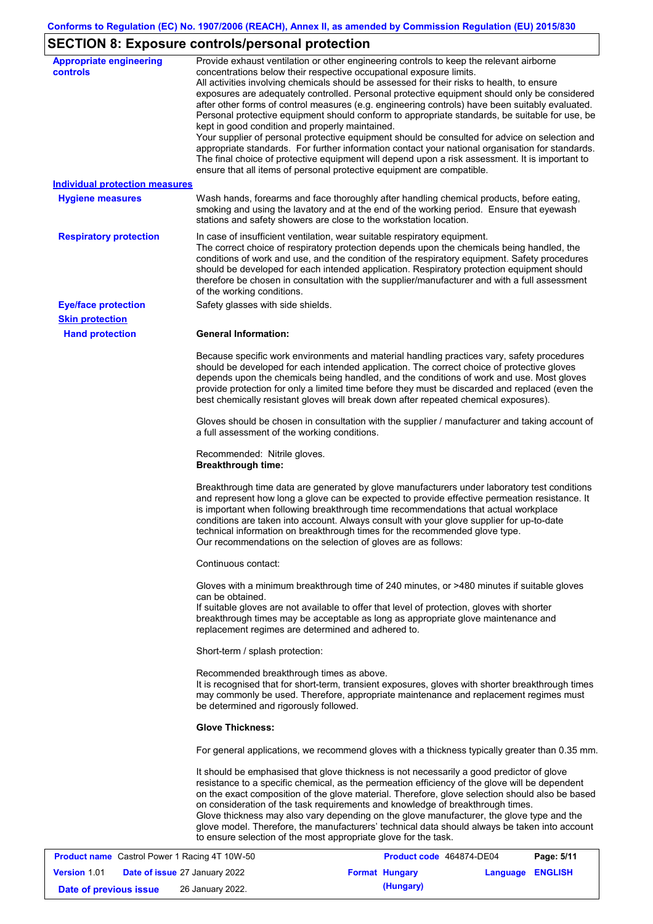## **SECTION 8: Exposure controls/personal protection**

| <b>Appropriate engineering</b><br><b>controls</b> | Provide exhaust ventilation or other engineering controls to keep the relevant airborne<br>concentrations below their respective occupational exposure limits.<br>All activities involving chemicals should be assessed for their risks to health, to ensure<br>exposures are adequately controlled. Personal protective equipment should only be considered<br>after other forms of control measures (e.g. engineering controls) have been suitably evaluated.<br>Personal protective equipment should conform to appropriate standards, be suitable for use, be<br>kept in good condition and properly maintained.<br>Your supplier of personal protective equipment should be consulted for advice on selection and<br>appropriate standards. For further information contact your national organisation for standards.<br>The final choice of protective equipment will depend upon a risk assessment. It is important to<br>ensure that all items of personal protective equipment are compatible. |
|---------------------------------------------------|---------------------------------------------------------------------------------------------------------------------------------------------------------------------------------------------------------------------------------------------------------------------------------------------------------------------------------------------------------------------------------------------------------------------------------------------------------------------------------------------------------------------------------------------------------------------------------------------------------------------------------------------------------------------------------------------------------------------------------------------------------------------------------------------------------------------------------------------------------------------------------------------------------------------------------------------------------------------------------------------------------|
| <b>Individual protection measures</b>             |                                                                                                                                                                                                                                                                                                                                                                                                                                                                                                                                                                                                                                                                                                                                                                                                                                                                                                                                                                                                         |
| <b>Hygiene measures</b>                           | Wash hands, forearms and face thoroughly after handling chemical products, before eating,<br>smoking and using the lavatory and at the end of the working period. Ensure that eyewash<br>stations and safety showers are close to the workstation location.                                                                                                                                                                                                                                                                                                                                                                                                                                                                                                                                                                                                                                                                                                                                             |
| <b>Respiratory protection</b>                     | In case of insufficient ventilation, wear suitable respiratory equipment.<br>The correct choice of respiratory protection depends upon the chemicals being handled, the<br>conditions of work and use, and the condition of the respiratory equipment. Safety procedures<br>should be developed for each intended application. Respiratory protection equipment should<br>therefore be chosen in consultation with the supplier/manufacturer and with a full assessment<br>of the working conditions.                                                                                                                                                                                                                                                                                                                                                                                                                                                                                                   |
| <b>Eye/face protection</b>                        | Safety glasses with side shields.                                                                                                                                                                                                                                                                                                                                                                                                                                                                                                                                                                                                                                                                                                                                                                                                                                                                                                                                                                       |
| <b>Skin protection</b>                            |                                                                                                                                                                                                                                                                                                                                                                                                                                                                                                                                                                                                                                                                                                                                                                                                                                                                                                                                                                                                         |
| <b>Hand protection</b>                            | <b>General Information:</b>                                                                                                                                                                                                                                                                                                                                                                                                                                                                                                                                                                                                                                                                                                                                                                                                                                                                                                                                                                             |
|                                                   | Because specific work environments and material handling practices vary, safety procedures<br>should be developed for each intended application. The correct choice of protective gloves<br>depends upon the chemicals being handled, and the conditions of work and use. Most gloves<br>provide protection for only a limited time before they must be discarded and replaced (even the<br>best chemically resistant gloves will break down after repeated chemical exposures).                                                                                                                                                                                                                                                                                                                                                                                                                                                                                                                        |
|                                                   | Gloves should be chosen in consultation with the supplier / manufacturer and taking account of<br>a full assessment of the working conditions.                                                                                                                                                                                                                                                                                                                                                                                                                                                                                                                                                                                                                                                                                                                                                                                                                                                          |
|                                                   | Recommended: Nitrile gloves.<br><b>Breakthrough time:</b>                                                                                                                                                                                                                                                                                                                                                                                                                                                                                                                                                                                                                                                                                                                                                                                                                                                                                                                                               |
|                                                   | Breakthrough time data are generated by glove manufacturers under laboratory test conditions<br>and represent how long a glove can be expected to provide effective permeation resistance. It<br>is important when following breakthrough time recommendations that actual workplace<br>conditions are taken into account. Always consult with your glove supplier for up-to-date<br>technical information on breakthrough times for the recommended glove type.<br>Our recommendations on the selection of gloves are as follows:                                                                                                                                                                                                                                                                                                                                                                                                                                                                      |
|                                                   | Continuous contact:                                                                                                                                                                                                                                                                                                                                                                                                                                                                                                                                                                                                                                                                                                                                                                                                                                                                                                                                                                                     |
|                                                   | Gloves with a minimum breakthrough time of 240 minutes, or >480 minutes if suitable gloves<br>can be obtained.<br>If suitable gloves are not available to offer that level of protection, gloves with shorter<br>breakthrough times may be acceptable as long as appropriate glove maintenance and<br>replacement regimes are determined and adhered to.                                                                                                                                                                                                                                                                                                                                                                                                                                                                                                                                                                                                                                                |
|                                                   | Short-term / splash protection:                                                                                                                                                                                                                                                                                                                                                                                                                                                                                                                                                                                                                                                                                                                                                                                                                                                                                                                                                                         |
|                                                   | Recommended breakthrough times as above.<br>It is recognised that for short-term, transient exposures, gloves with shorter breakthrough times<br>may commonly be used. Therefore, appropriate maintenance and replacement regimes must<br>be determined and rigorously followed.                                                                                                                                                                                                                                                                                                                                                                                                                                                                                                                                                                                                                                                                                                                        |
|                                                   | <b>Glove Thickness:</b>                                                                                                                                                                                                                                                                                                                                                                                                                                                                                                                                                                                                                                                                                                                                                                                                                                                                                                                                                                                 |
|                                                   | For general applications, we recommend gloves with a thickness typically greater than 0.35 mm.                                                                                                                                                                                                                                                                                                                                                                                                                                                                                                                                                                                                                                                                                                                                                                                                                                                                                                          |
|                                                   | It should be emphasised that glove thickness is not necessarily a good predictor of glove<br>resistance to a specific chemical, as the permeation efficiency of the glove will be dependent<br>on the exact composition of the glove material. Therefore, glove selection should also be based<br>on consideration of the task requirements and knowledge of breakthrough times.<br>Glove thickness may also vary depending on the glove manufacturer, the glove type and the<br>glove model. Therefore, the manufacturers' technical data should always be taken into account<br>to ensure selection of the most appropriate glove for the task.                                                                                                                                                                                                                                                                                                                                                       |
| Coetrol Dower 1 Poeing 4T 1014 50                 | Dao: E/44<br><b>Droduct code</b> 464974 DE04                                                                                                                                                                                                                                                                                                                                                                                                                                                                                                                                                                                                                                                                                                                                                                                                                                                                                                                                                            |

|                        | <b>Product name</b> Castrol Power 1 Racing 4T 10W-50 | <b>Product code</b> 464874-DE04 |                         | Page: 5/11 |
|------------------------|------------------------------------------------------|---------------------------------|-------------------------|------------|
| <b>Version 1.01</b>    | <b>Date of issue 27 January 2022</b>                 | <b>Format Hungary</b>           | <b>Language ENGLISH</b> |            |
| Date of previous issue | 26 January 2022.                                     | (Hungary)                       |                         |            |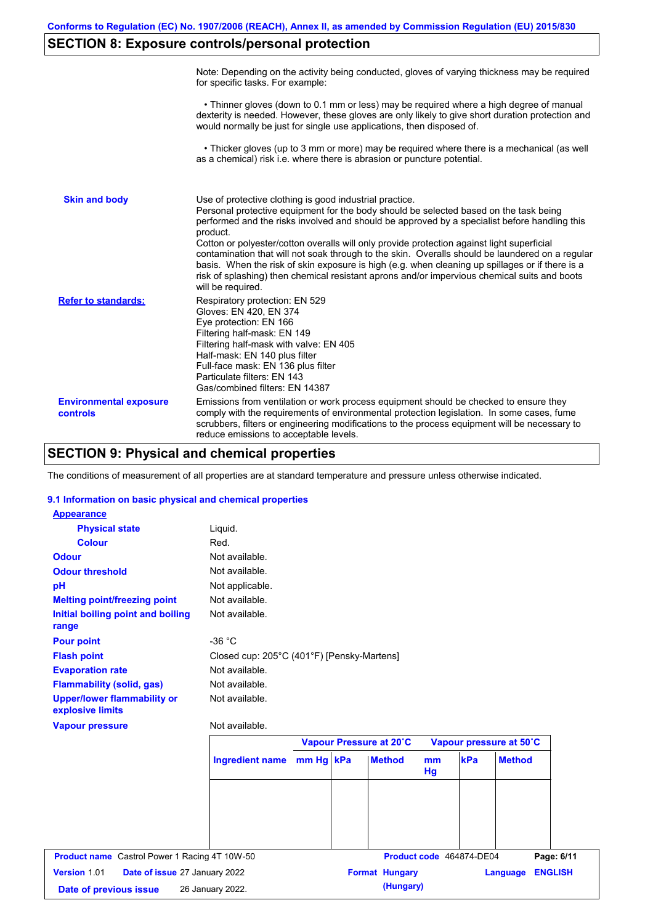## **SECTION 8: Exposure controls/personal protection**

|                                           | Note: Depending on the activity being conducted, gloves of varying thickness may be required<br>for specific tasks. For example:                                                                                                                                                                                                                                                                                                                                                                                                                                                                                                                                                      |
|-------------------------------------------|---------------------------------------------------------------------------------------------------------------------------------------------------------------------------------------------------------------------------------------------------------------------------------------------------------------------------------------------------------------------------------------------------------------------------------------------------------------------------------------------------------------------------------------------------------------------------------------------------------------------------------------------------------------------------------------|
|                                           | • Thinner gloves (down to 0.1 mm or less) may be required where a high degree of manual<br>dexterity is needed. However, these gloves are only likely to give short duration protection and<br>would normally be just for single use applications, then disposed of.                                                                                                                                                                                                                                                                                                                                                                                                                  |
|                                           | • Thicker gloves (up to 3 mm or more) may be required where there is a mechanical (as well<br>as a chemical) risk i.e. where there is abrasion or puncture potential.                                                                                                                                                                                                                                                                                                                                                                                                                                                                                                                 |
| <b>Skin and body</b>                      | Use of protective clothing is good industrial practice.<br>Personal protective equipment for the body should be selected based on the task being<br>performed and the risks involved and should be approved by a specialist before handling this<br>product.<br>Cotton or polyester/cotton overalls will only provide protection against light superficial<br>contamination that will not soak through to the skin. Overalls should be laundered on a regular<br>basis. When the risk of skin exposure is high (e.g. when cleaning up spillages or if there is a<br>risk of splashing) then chemical resistant aprons and/or impervious chemical suits and boots<br>will be required. |
| <b>Refer to standards:</b>                | Respiratory protection: EN 529<br>Gloves: EN 420, EN 374<br>Eye protection: EN 166<br>Filtering half-mask: EN 149<br>Filtering half-mask with valve: EN 405<br>Half-mask: EN 140 plus filter<br>Full-face mask: EN 136 plus filter<br>Particulate filters: EN 143<br>Gas/combined filters: EN 14387                                                                                                                                                                                                                                                                                                                                                                                   |
| <b>Environmental exposure</b><br>controls | Emissions from ventilation or work process equipment should be checked to ensure they<br>comply with the requirements of environmental protection legislation. In some cases, fume<br>scrubbers, filters or engineering modifications to the process equipment will be necessary to<br>reduce emissions to acceptable levels.                                                                                                                                                                                                                                                                                                                                                         |

## **SECTION 9: Physical and chemical properties**

The conditions of measurement of all properties are at standard temperature and pressure unless otherwise indicated.

### **9.1 Information on basic physical and chemical properties**

| <b>Appearance</b>                                      |                                            |  |                         |          |                          |               |                |
|--------------------------------------------------------|--------------------------------------------|--|-------------------------|----------|--------------------------|---------------|----------------|
| <b>Physical state</b>                                  | Liquid.                                    |  |                         |          |                          |               |                |
| <b>Colour</b>                                          | Red.                                       |  |                         |          |                          |               |                |
| <b>Odour</b>                                           | Not available.                             |  |                         |          |                          |               |                |
| <b>Odour threshold</b>                                 | Not available.                             |  |                         |          |                          |               |                |
| pH                                                     | Not applicable.                            |  |                         |          |                          |               |                |
| <b>Melting point/freezing point</b>                    | Not available.                             |  |                         |          |                          |               |                |
| Initial boiling point and boiling<br>range             | Not available.                             |  |                         |          |                          |               |                |
| <b>Pour point</b>                                      | $-36 °C$                                   |  |                         |          |                          |               |                |
| <b>Flash point</b>                                     | Closed cup: 205°C (401°F) [Pensky-Martens] |  |                         |          |                          |               |                |
| <b>Evaporation rate</b>                                | Not available.                             |  |                         |          |                          |               |                |
| <b>Flammability (solid, gas)</b>                       | Not available.                             |  |                         |          |                          |               |                |
| <b>Upper/lower flammability or</b><br>explosive limits | Not available.                             |  |                         |          |                          |               |                |
| <b>Vapour pressure</b>                                 | Not available.                             |  |                         |          |                          |               |                |
|                                                        |                                            |  | Vapour Pressure at 20°C |          | Vapour pressure at 50°C  |               |                |
|                                                        | Ingredient name mm Hg kPa                  |  | <b>Method</b>           | mm<br>Hg | kPa                      | <b>Method</b> |                |
|                                                        |                                            |  |                         |          |                          |               |                |
|                                                        |                                            |  |                         |          |                          |               |                |
|                                                        |                                            |  |                         |          |                          |               |                |
| <b>Product name</b> Castrol Power 1 Racing 4T 10W-50   |                                            |  |                         |          | Product code 464874-DE04 |               | Page: 6/11     |
| Version 1.01<br>Date of issue 27 January 2022          |                                            |  | <b>Format Hungary</b>   |          |                          | Language      | <b>ENGLISH</b> |
| Date of previous issue                                 | 26 January 2022.                           |  | (Hungary)               |          |                          |               |                |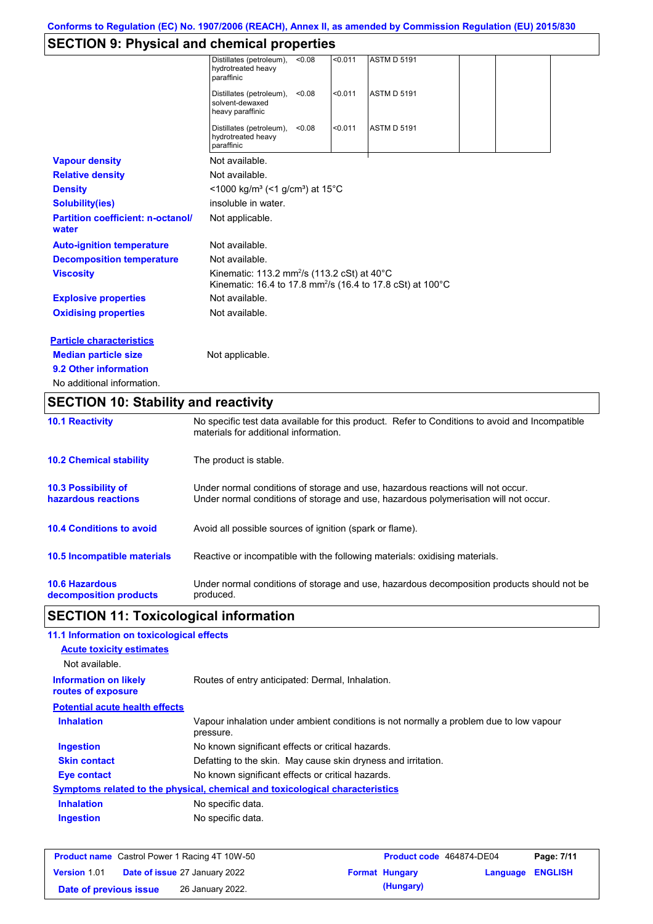## **SECTION 9: Physical and chemical properties**

|                                                   | Distillates (petroleum),<br>hydrotreated heavy<br>paraffinic                                                                             | < 0.08 | < 0.011 | <b>ASTM D 5191</b> |  |  |
|---------------------------------------------------|------------------------------------------------------------------------------------------------------------------------------------------|--------|---------|--------------------|--|--|
|                                                   | Distillates (petroleum),<br>solvent-dewaxed<br>heavy paraffinic                                                                          | < 0.08 | < 0.011 | <b>ASTM D 5191</b> |  |  |
|                                                   | Distillates (petroleum),<br>hydrotreated heavy<br>paraffinic                                                                             | < 0.08 | < 0.011 | <b>ASTM D 5191</b> |  |  |
| <b>Vapour density</b>                             | Not available.                                                                                                                           |        |         |                    |  |  |
| <b>Relative density</b>                           | Not available.                                                                                                                           |        |         |                    |  |  |
| <b>Density</b>                                    | $<$ 1000 kg/m <sup>3</sup> (<1 g/cm <sup>3</sup> ) at 15 <sup>°</sup> C                                                                  |        |         |                    |  |  |
| <b>Solubility(ies)</b>                            | insoluble in water.                                                                                                                      |        |         |                    |  |  |
| <b>Partition coefficient: n-octanol/</b><br>water | Not applicable.                                                                                                                          |        |         |                    |  |  |
| <b>Auto-ignition temperature</b>                  | Not available.                                                                                                                           |        |         |                    |  |  |
| <b>Decomposition temperature</b>                  | Not available.                                                                                                                           |        |         |                    |  |  |
| <b>Viscosity</b>                                  | Kinematic: 113.2 mm <sup>2</sup> /s (113.2 cSt) at 40°C<br>Kinematic: 16.4 to 17.8 mm <sup>2</sup> /s (16.4 to 17.8 cSt) at 100°C        |        |         |                    |  |  |
| <b>Explosive properties</b>                       | Not available.                                                                                                                           |        |         |                    |  |  |
| <b>Oxidising properties</b>                       | Not available.                                                                                                                           |        |         |                    |  |  |
| <b>Particle characteristics</b>                   |                                                                                                                                          |        |         |                    |  |  |
| <b>Median particle size</b>                       | Not applicable.                                                                                                                          |        |         |                    |  |  |
| 9.2 Other information                             |                                                                                                                                          |        |         |                    |  |  |
| No additional information.                        |                                                                                                                                          |        |         |                    |  |  |
| <b>SECTION 10: Stability and reactivity</b>       |                                                                                                                                          |        |         |                    |  |  |
| <b>10.1 Reactivity</b>                            | No specific test data available for this product. Refer to Conditions to avoid and Incompatible<br>materials for additional information. |        |         |                    |  |  |
| <b>10.2 Chemical stability</b>                    | The product is stable.                                                                                                                   |        |         |                    |  |  |

| <b>10.3 Possibility of</b>      | Under normal conditions of storage and use, hazardous reactions will not occur.            |
|---------------------------------|--------------------------------------------------------------------------------------------|
| hazardous reactions             | Under normal conditions of storage and use, hazardous polymerisation will not occur.       |
| <b>10.4 Conditions to avoid</b> | Avoid all possible sources of ignition (spark or flame).                                   |
| 10.5 Incompatible materials     | Reactive or incompatible with the following materials: oxidising materials.                |
| <b>10.6 Hazardous</b>           | Under normal conditions of storage and use, hazardous decomposition products should not be |
| decomposition products          | produced.                                                                                  |

# **SECTION 11: Toxicological information**

| 11.1 Information on toxicological effects          |                                                                                                     |
|----------------------------------------------------|-----------------------------------------------------------------------------------------------------|
| <b>Acute toxicity estimates</b>                    |                                                                                                     |
| Not available.                                     |                                                                                                     |
| <b>Information on likely</b><br>routes of exposure | Routes of entry anticipated: Dermal, Inhalation.                                                    |
| <b>Potential acute health effects</b>              |                                                                                                     |
| <b>Inhalation</b>                                  | Vapour inhalation under ambient conditions is not normally a problem due to low vapour<br>pressure. |
| <b>Ingestion</b>                                   | No known significant effects or critical hazards.                                                   |
| <b>Skin contact</b>                                | Defatting to the skin. May cause skin dryness and irritation.                                       |
| Eye contact                                        | No known significant effects or critical hazards.                                                   |
|                                                    | <b>Symptoms related to the physical, chemical and toxicological characteristics</b>                 |
| <b>Inhalation</b>                                  | No specific data.                                                                                   |
| <b>Ingestion</b>                                   | No specific data.                                                                                   |
|                                                    |                                                                                                     |

|                        | <b>Product name</b> Castrol Power 1 Racing 4T 10W-50 | Product code 464874-DE04 | Page: 7/11              |
|------------------------|------------------------------------------------------|--------------------------|-------------------------|
| <b>Version 1.01</b>    | <b>Date of issue 27 January 2022</b>                 | <b>Format Hungary</b>    | <b>Language ENGLISH</b> |
| Date of previous issue | 26 January 2022.                                     | (Hungary)                |                         |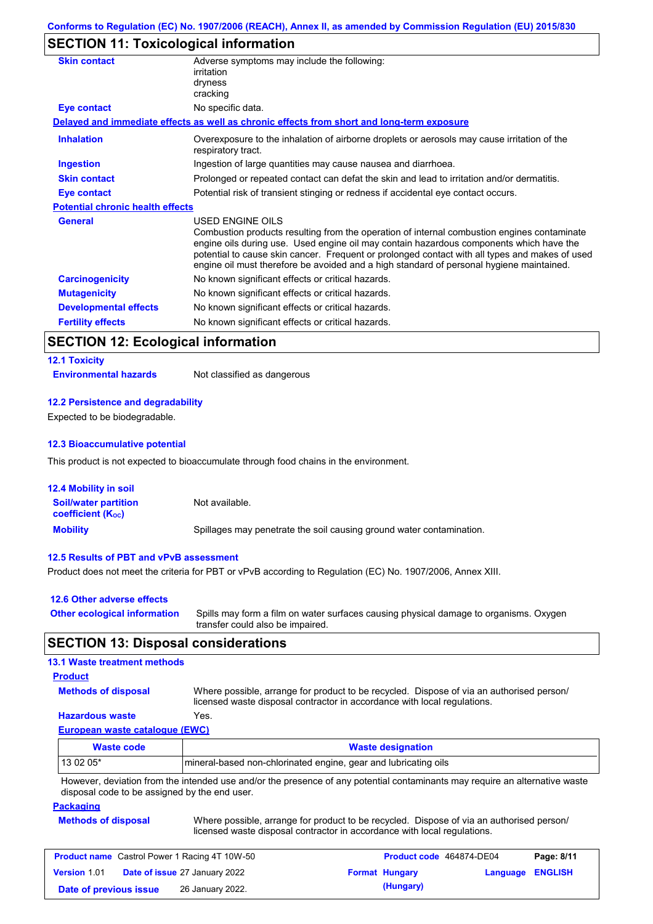## **SECTION 11: Toxicological information**

| <b>Skin contact</b>                     | Adverse symptoms may include the following:<br>irritation<br>dryness<br>cracking                                                                                                                                                                                                                                                                                                                                |
|-----------------------------------------|-----------------------------------------------------------------------------------------------------------------------------------------------------------------------------------------------------------------------------------------------------------------------------------------------------------------------------------------------------------------------------------------------------------------|
| Eye contact                             | No specific data.                                                                                                                                                                                                                                                                                                                                                                                               |
|                                         | Delayed and immediate effects as well as chronic effects from short and long-term exposure                                                                                                                                                                                                                                                                                                                      |
| <b>Inhalation</b>                       | Overexposure to the inhalation of airborne droplets or aerosols may cause irritation of the<br>respiratory tract.                                                                                                                                                                                                                                                                                               |
| <b>Ingestion</b>                        | Ingestion of large quantities may cause nausea and diarrhoea.                                                                                                                                                                                                                                                                                                                                                   |
| <b>Skin contact</b>                     | Prolonged or repeated contact can defat the skin and lead to irritation and/or dermatitis.                                                                                                                                                                                                                                                                                                                      |
| <b>Eye contact</b>                      | Potential risk of transient stinging or redness if accidental eye contact occurs.                                                                                                                                                                                                                                                                                                                               |
| <b>Potential chronic health effects</b> |                                                                                                                                                                                                                                                                                                                                                                                                                 |
| <b>General</b>                          | <b>USED ENGINE OILS</b><br>Combustion products resulting from the operation of internal combustion engines contaminate<br>engine oils during use. Used engine oil may contain hazardous components which have the<br>potential to cause skin cancer. Frequent or prolonged contact with all types and makes of used<br>engine oil must therefore be avoided and a high standard of personal hygiene maintained. |
| <b>Carcinogenicity</b>                  | No known significant effects or critical hazards.                                                                                                                                                                                                                                                                                                                                                               |
| <b>Mutagenicity</b>                     | No known significant effects or critical hazards.                                                                                                                                                                                                                                                                                                                                                               |
| <b>Developmental effects</b>            | No known significant effects or critical hazards.                                                                                                                                                                                                                                                                                                                                                               |
| <b>Fertility effects</b>                | No known significant effects or critical hazards.                                                                                                                                                                                                                                                                                                                                                               |
|                                         |                                                                                                                                                                                                                                                                                                                                                                                                                 |

## **SECTION 12: Ecological information**

## **12.1 Toxicity**

**Environmental hazards** Not classified as dangerous

### **12.2 Persistence and degradability**

Expected to be biodegradable.

#### **12.3 Bioaccumulative potential**

This product is not expected to bioaccumulate through food chains in the environment.

| <b>12.4 Mobility in soil</b>                            |                                                                      |
|---------------------------------------------------------|----------------------------------------------------------------------|
| <b>Soil/water partition</b><br><b>coefficient (Koc)</b> | Not available.                                                       |
| <b>Mobility</b>                                         | Spillages may penetrate the soil causing ground water contamination. |

#### **12.5 Results of PBT and vPvB assessment**

Product does not meet the criteria for PBT or vPvB according to Regulation (EC) No. 1907/2006, Annex XIII.

| 12.6 Other adverse effects          |                                                                                                                           |
|-------------------------------------|---------------------------------------------------------------------------------------------------------------------------|
| <b>Other ecological information</b> | Spills may form a film on water surfaces causing physical damage to organisms. Oxygen<br>transfer could also be impaired. |

### **SECTION 13: Disposal considerations**

### **13.1 Waste treatment methods**

### **Product**

**Methods of disposal**

Where possible, arrange for product to be recycled. Dispose of via an authorised person/ licensed waste disposal contractor in accordance with local regulations.

### **Hazardous waste** Yes.

**European waste catalogue (EWC)**

| Waste code | <b>Waste designation</b>                                                                                                    |
|------------|-----------------------------------------------------------------------------------------------------------------------------|
| $130205*$  | mineral-based non-chlorinated engine, gear and lubricating oils                                                             |
|            | However, deviation from the intended use and/or the presence of any potential contaminants may require an alternative waste |

isence of any potential contaminants may require an alternative waste disposal code to be assigned by the end user.

#### **Packaging**

| <b>Methods of disposal</b> | Where possible, arrange for product to be recycled. Dispose of via an authorised person/ |
|----------------------------|------------------------------------------------------------------------------------------|
|                            | licensed waste disposal contractor in accordance with local regulations.                 |

| <b>Product name</b> Castrol Power 1 Racing 4T 10W-50 |  |                                      | <b>Product code</b> 464874-DE04 |                       | Page: 8/11              |  |
|------------------------------------------------------|--|--------------------------------------|---------------------------------|-----------------------|-------------------------|--|
| <b>Version 1.01</b>                                  |  | <b>Date of issue 27 January 2022</b> |                                 | <b>Format Hungary</b> | <b>Language ENGLISH</b> |  |
| Date of previous issue                               |  | 26 January 2022.                     |                                 | (Hungary)             |                         |  |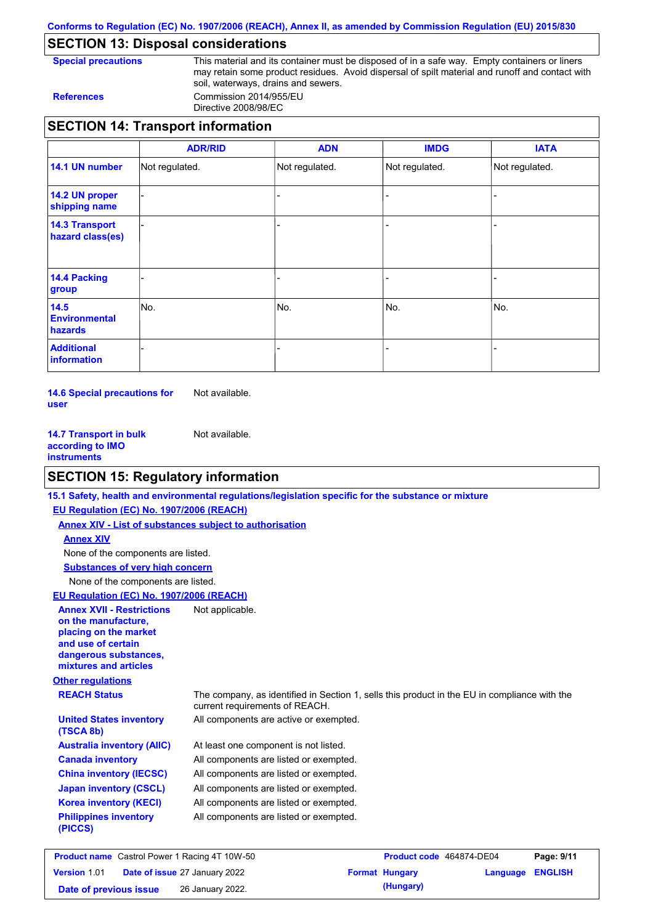**Conforms to Regulation (EC) No. 1907/2006 (REACH), Annex II, as amended by Commission Regulation (EU) 2015/830**

## **SECTION 13: Disposal considerations**

**Special precautions** This material and its container must be disposed of in a safe way. Empty containers or liners may retain some product residues. Avoid dispersal of spilt material and runoff and contact with soil, waterways, drains and sewers. **References** Commission 2014/955/EU

Directive 2008/98/EC

|                                           | <b>ADR/RID</b> | <b>ADN</b>     | <b>IMDG</b>    | <b>IATA</b>    |
|-------------------------------------------|----------------|----------------|----------------|----------------|
| 14.1 UN number                            | Not regulated. | Not regulated. | Not regulated. | Not regulated. |
| 14.2 UN proper<br>shipping name           |                |                |                |                |
| <b>14.3 Transport</b><br>hazard class(es) |                |                |                |                |
| 14.4 Packing<br>group                     |                |                |                |                |
| 14.5<br><b>Environmental</b><br>hazards   | INo.           | No.            | No.            | No.            |
| <b>Additional</b><br>information          |                |                |                |                |

**14.6 Special precautions for user** Not available.

**14.7 Transport in bulk according to IMO instruments** Not available.

## **SECTION 15: Regulatory information**

|                                                                                                                                                          | 15.1 Safety, health and environmental regulations/legislation specific for the substance or mixture                            |
|----------------------------------------------------------------------------------------------------------------------------------------------------------|--------------------------------------------------------------------------------------------------------------------------------|
| EU Regulation (EC) No. 1907/2006 (REACH)                                                                                                                 |                                                                                                                                |
| <b>Annex XIV - List of substances subject to authorisation</b>                                                                                           |                                                                                                                                |
| <b>Annex XIV</b>                                                                                                                                         |                                                                                                                                |
| None of the components are listed.                                                                                                                       |                                                                                                                                |
| <b>Substances of very high concern</b>                                                                                                                   |                                                                                                                                |
| None of the components are listed.                                                                                                                       |                                                                                                                                |
| EU Regulation (EC) No. 1907/2006 (REACH)                                                                                                                 |                                                                                                                                |
| <b>Annex XVII - Restrictions</b><br>on the manufacture.<br>placing on the market<br>and use of certain<br>dangerous substances,<br>mixtures and articles | Not applicable.                                                                                                                |
| <b>Other regulations</b>                                                                                                                                 |                                                                                                                                |
| <b>REACH Status</b>                                                                                                                                      | The company, as identified in Section 1, sells this product in the EU in compliance with the<br>current requirements of REACH. |
| <b>United States inventory</b><br>(TSCA 8b)                                                                                                              | All components are active or exempted.                                                                                         |
| <b>Australia inventory (AIIC)</b>                                                                                                                        | At least one component is not listed.                                                                                          |
| <b>Canada inventory</b>                                                                                                                                  | All components are listed or exempted.                                                                                         |
| <b>China inventory (IECSC)</b>                                                                                                                           | All components are listed or exempted.                                                                                         |
| <b>Japan inventory (CSCL)</b>                                                                                                                            | All components are listed or exempted.                                                                                         |
| <b>Korea inventory (KECI)</b>                                                                                                                            | All components are listed or exempted.                                                                                         |
| <b>Philippines inventory</b><br>(PICCS)                                                                                                                  | All components are listed or exempted.                                                                                         |
|                                                                                                                                                          |                                                                                                                                |

| <b>Product name</b> Castrol Power 1 Racing 4T 10W-50 |  |                                      | Product code 464874-DE04 | Page: 9/11            |                         |  |
|------------------------------------------------------|--|--------------------------------------|--------------------------|-----------------------|-------------------------|--|
| Version 1.01                                         |  | <b>Date of issue 27 January 2022</b> |                          | <b>Format Hungary</b> | <b>Language ENGLISH</b> |  |
| Date of previous issue                               |  | 26 January 2022.                     |                          | (Hungary)             |                         |  |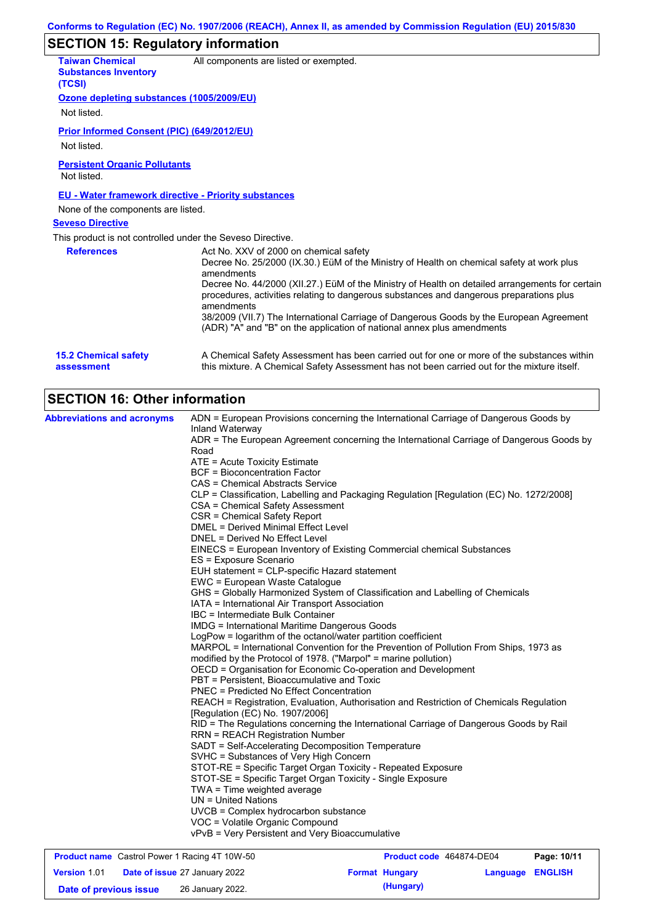## **SECTION 15: Regulatory information**

| <b>Taiwan Chemical</b><br><b>Substances Inventory</b>       | All components are listed or exempted.                                                                                                                                                                                                                                                                                                          |
|-------------------------------------------------------------|-------------------------------------------------------------------------------------------------------------------------------------------------------------------------------------------------------------------------------------------------------------------------------------------------------------------------------------------------|
| (TCSI)                                                      |                                                                                                                                                                                                                                                                                                                                                 |
| Ozone depleting substances (1005/2009/EU)                   |                                                                                                                                                                                                                                                                                                                                                 |
| Not listed.                                                 |                                                                                                                                                                                                                                                                                                                                                 |
| Prior Informed Consent (PIC) (649/2012/EU)                  |                                                                                                                                                                                                                                                                                                                                                 |
| Not listed.                                                 |                                                                                                                                                                                                                                                                                                                                                 |
| <b>Persistent Organic Pollutants</b><br>Not listed.         |                                                                                                                                                                                                                                                                                                                                                 |
| <b>EU - Water framework directive - Priority substances</b> |                                                                                                                                                                                                                                                                                                                                                 |
| None of the components are listed.                          |                                                                                                                                                                                                                                                                                                                                                 |
| <b>Seveso Directive</b>                                     |                                                                                                                                                                                                                                                                                                                                                 |
| This product is not controlled under the Seveso Directive.  |                                                                                                                                                                                                                                                                                                                                                 |
| <b>References</b>                                           | Act No. XXV of 2000 on chemical safety<br>Decree No. 25/2000 (IX.30.) EüM of the Ministry of Health on chemical safety at work plus<br>amendments<br>Decree No. 44/2000 (XII.27.) EüM of the Ministry of Health on detailed arrangements for certain<br>procedures, activities relating to dangerous substances and dangerous preparations plus |
|                                                             | amendments<br>38/2009 (VII.7) The International Carriage of Dangerous Goods by the European Agreement<br>(ADR) "A" and "B" on the application of national annex plus amendments                                                                                                                                                                 |
| <b>15.2 Chemical safety</b><br>assessment                   | A Chemical Safety Assessment has been carried out for one or more of the substances within<br>this mixture. A Chemical Safety Assessment has not been carried out for the mixture itself.                                                                                                                                                       |

## **SECTION 16: Other information**

| <b>Abbreviations and acronyms</b>                    | ADN = European Provisions concerning the International Carriage of Dangerous Goods by     |
|------------------------------------------------------|-------------------------------------------------------------------------------------------|
|                                                      | Inland Waterway                                                                           |
|                                                      | ADR = The European Agreement concerning the International Carriage of Dangerous Goods by  |
|                                                      | Road                                                                                      |
|                                                      | ATE = Acute Toxicity Estimate                                                             |
|                                                      | <b>BCF = Bioconcentration Factor</b>                                                      |
|                                                      | <b>CAS = Chemical Abstracts Service</b>                                                   |
|                                                      | CLP = Classification, Labelling and Packaging Regulation [Regulation (EC) No. 1272/2008]  |
|                                                      | CSA = Chemical Safety Assessment                                                          |
|                                                      | CSR = Chemical Safety Report                                                              |
|                                                      | <b>DMEL = Derived Minimal Effect Level</b>                                                |
|                                                      | DNEL = Derived No Effect Level                                                            |
|                                                      | EINECS = European Inventory of Existing Commercial chemical Substances                    |
|                                                      | ES = Exposure Scenario                                                                    |
|                                                      | EUH statement = CLP-specific Hazard statement                                             |
|                                                      | EWC = European Waste Catalogue                                                            |
|                                                      | GHS = Globally Harmonized System of Classification and Labelling of Chemicals             |
|                                                      | IATA = International Air Transport Association                                            |
|                                                      | IBC = Intermediate Bulk Container                                                         |
|                                                      | <b>IMDG = International Maritime Dangerous Goods</b>                                      |
|                                                      | LogPow = logarithm of the octanol/water partition coefficient                             |
|                                                      | MARPOL = International Convention for the Prevention of Pollution From Ships, 1973 as     |
|                                                      | modified by the Protocol of 1978. ("Marpol" = marine pollution)                           |
|                                                      | OECD = Organisation for Economic Co-operation and Development                             |
|                                                      | PBT = Persistent, Bioaccumulative and Toxic                                               |
|                                                      | <b>PNEC</b> = Predicted No Effect Concentration                                           |
|                                                      | REACH = Registration, Evaluation, Authorisation and Restriction of Chemicals Regulation   |
|                                                      | [Regulation (EC) No. 1907/2006]                                                           |
|                                                      | RID = The Regulations concerning the International Carriage of Dangerous Goods by Rail    |
|                                                      | <b>RRN = REACH Registration Number</b>                                                    |
|                                                      | SADT = Self-Accelerating Decomposition Temperature                                        |
|                                                      | SVHC = Substances of Very High Concern                                                    |
|                                                      | STOT-RE = Specific Target Organ Toxicity - Repeated Exposure                              |
|                                                      | STOT-SE = Specific Target Organ Toxicity - Single Exposure<br>TWA = Time weighted average |
|                                                      |                                                                                           |
|                                                      | $UN = United Nations$                                                                     |
|                                                      | UVCB = Complex hydrocarbon substance                                                      |
|                                                      | VOC = Volatile Organic Compound                                                           |
|                                                      | vPvB = Very Persistent and Very Bioaccumulative                                           |
| <b>Broduct name</b> Castrol Bower 1 Basing 4T 10W 50 | <b>Droduct code</b> 161971 DE01<br><b>Dogo: 10/11</b>                                     |

| <b>Product name</b> Castrol Power 1 Racing 4T 10W-50 |  |                                      | Product code 464874-DE04 |                       | Page: 10/11             |  |
|------------------------------------------------------|--|--------------------------------------|--------------------------|-----------------------|-------------------------|--|
| <b>Version 1.01</b>                                  |  | <b>Date of issue 27 January 2022</b> |                          | <b>Format Hungary</b> | <b>Language ENGLISH</b> |  |
| Date of previous issue                               |  | 26 January 2022.                     |                          | (Hungary)             |                         |  |